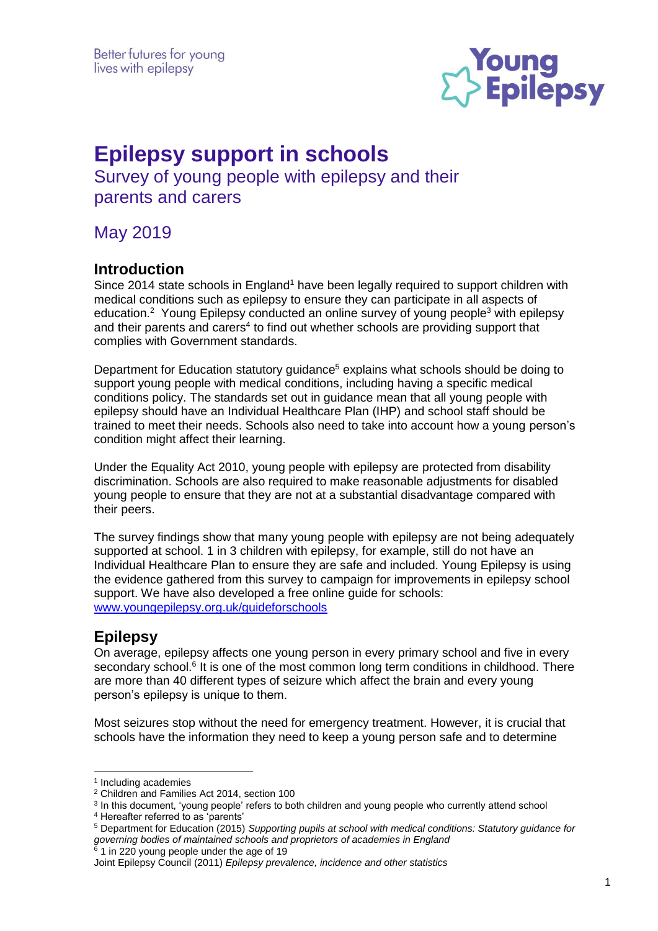

# **Epilepsy support in schools**

Survey of young people with epilepsy and their parents and carers

May 2019

## **Introduction**

Since 2014 state schools in England<sup>1</sup> have been legally required to support children with medical conditions such as epilepsy to ensure they can participate in all aspects of education.<sup>2</sup> Young Epilepsy conducted an online survey of young people<sup>3</sup> with epilepsy and their parents and carers<sup>4</sup> to find out whether schools are providing support that complies with Government standards.

Department for Education statutory guidance<sup>5</sup> explains what schools should be doing to support young people with medical conditions, including having a specific medical conditions policy. The standards set out in guidance mean that all young people with epilepsy should have an Individual Healthcare Plan (IHP) and school staff should be trained to meet their needs. Schools also need to take into account how a young person's condition might affect their learning.

Under the Equality Act 2010, young people with epilepsy are protected from disability discrimination. Schools are also required to make reasonable adjustments for disabled young people to ensure that they are not at a substantial disadvantage compared with their peers.

The survey findings show that many young people with epilepsy are not being adequately supported at school. 1 in 3 children with epilepsy, for example, still do not have an Individual Healthcare Plan to ensure they are safe and included. Young Epilepsy is using the evidence gathered from this survey to campaign for improvements in epilepsy school support. We have also developed a free online guide for schools: [www.youngepilepsy.org.uk/guideforschools](http://www.youngepilepsy.org.uk/guideforschools)

## **Epilepsy**

On average, epilepsy affects one young person in every primary school and five in every secondary school.<sup>6</sup> It is one of the most common long term conditions in childhood. There are more than 40 different types of seizure which affect the brain and every young person's epilepsy is unique to them.

Most seizures stop without the need for emergency treatment. However, it is crucial that schools have the information they need to keep a young person safe and to determine

<u>.</u>

<sup>1</sup> Including academies

<sup>2</sup> Children and Families Act 2014, section 100

<sup>&</sup>lt;sup>3</sup> In this document, 'young people' refers to both children and young people who currently attend school

<sup>4</sup> Hereafter referred to as 'parents'

<sup>5</sup> Department for Education (2015) *Supporting pupils at school with medical conditions: Statutory guidance for governing bodies of maintained schools and proprietors of academies in England*

 $6$  1 in 220 young people under the age of 19

Joint Epilepsy Council (2011) *Epilepsy prevalence, incidence and other statistics*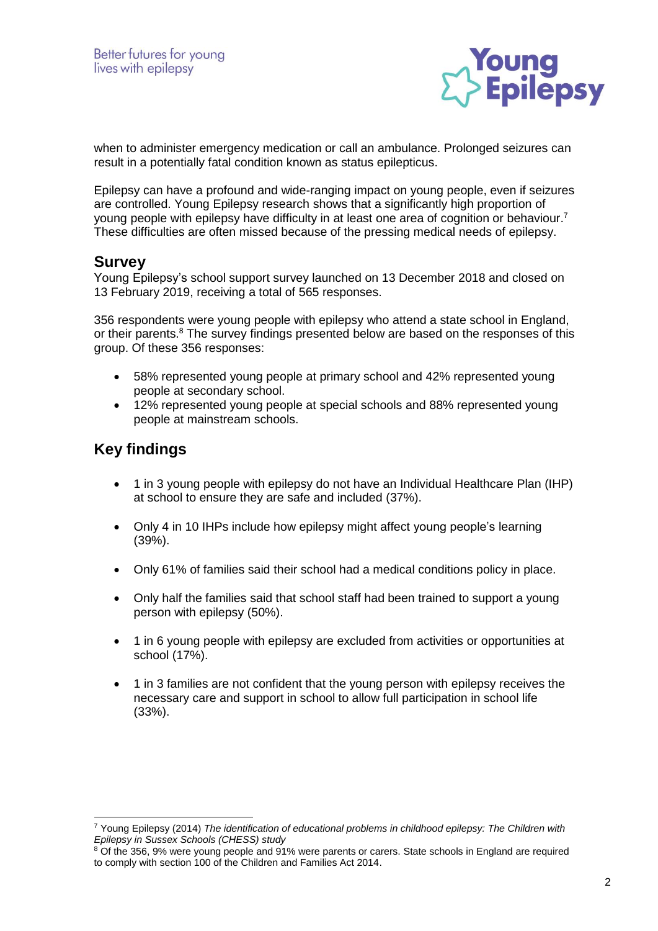

when to administer emergency medication or call an ambulance. Prolonged seizures can result in a potentially fatal condition known as status epilepticus.

Epilepsy can have a profound and wide-ranging impact on young people, even if seizures are controlled. Young Epilepsy research shows that a significantly high proportion of young people with epilepsy have difficulty in at least one area of cognition or behaviour. 7 These difficulties are often missed because of the pressing medical needs of epilepsy.

#### **Survey**

Young Epilepsy's school support survey launched on 13 December 2018 and closed on 13 February 2019, receiving a total of 565 responses.

356 respondents were young people with epilepsy who attend a state school in England, or their parents.<sup>8</sup> The survey findings presented below are based on the responses of this group. Of these 356 responses:

- 58% represented young people at primary school and 42% represented young people at secondary school.
- 12% represented young people at special schools and 88% represented young people at mainstream schools.

## **Key findings**

<u>.</u>

- 1 in 3 young people with epilepsy do not have an Individual Healthcare Plan (IHP) at school to ensure they are safe and included (37%).
- Only 4 in 10 IHPs include how epilepsy might affect young people's learning (39%).
- Only 61% of families said their school had a medical conditions policy in place.
- Only half the families said that school staff had been trained to support a young person with epilepsy (50%).
- 1 in 6 young people with epilepsy are excluded from activities or opportunities at school (17%).
- 1 in 3 families are not confident that the young person with epilepsy receives the necessary care and support in school to allow full participation in school life (33%).

<sup>7</sup> Young Epilepsy (2014) *The identification of educational problems in childhood epilepsy: The Children with Epilepsy in Sussex Schools (CHESS) study*

<sup>&</sup>lt;sup>8</sup> Of the 356, 9% were young people and 91% were parents or carers. State schools in England are required to comply with section 100 of the Children and Families Act 2014.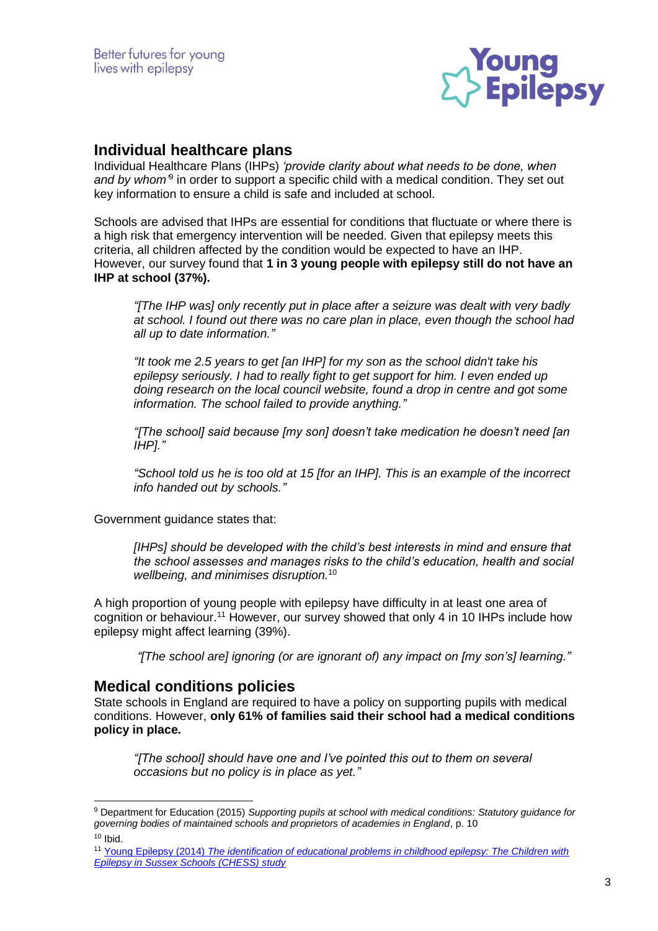

## **Individual healthcare plans**

Individual Healthcare Plans (IHPs) *'provide clarity about what needs to be done, when*  and by whom<sup>3</sup> in order to support a specific child with a medical condition. They set out key information to ensure a child is safe and included at school.

Schools are advised that IHPs are essential for conditions that fluctuate or where there is a high risk that emergency intervention will be needed. Given that epilepsy meets this criteria, all children affected by the condition would be expected to have an IHP. However, our survey found that **1 in 3 young people with epilepsy still do not have an IHP at school (37%).**

*"[The IHP was] only recently put in place after a seizure was dealt with very badly at school. I found out there was no care plan in place, even though the school had all up to date information."*

*"It took me 2.5 years to get [an IHP] for my son as the school didn't take his epilepsy seriously. I had to really fight to get support for him. I even ended up doing research on the local council website, found a drop in centre and got some information. The school failed to provide anything."*

*"[The school] said because [my son] doesn't take medication he doesn't need [an IHP]."*

*"School told us he is too old at 15 [for an IHP]. This is an example of the incorrect info handed out by schools."*

Government guidance states that:

*[IHPs] should be developed with the child's best interests in mind and ensure that the school assesses and manages risks to the child's education, health and social wellbeing, and minimises disruption.*<sup>10</sup>

A high proportion of young people with epilepsy have difficulty in at least one area of cognition or behaviour.<sup>11</sup> However, our survey showed that only 4 in 10 IHPs include how epilepsy might affect learning (39%).

*"[The school are] ignoring (or are ignorant of) any impact on [my son's] learning."*

#### **Medical conditions policies**

-

State schools in England are required to have a policy on supporting pupils with medical conditions. However, **only 61% of families said their school had a medical conditions policy in place.**

*"[The school] should have one and I've pointed this out to them on several occasions but no policy is in place as yet."*

<sup>9</sup> Department for Education (2015) *Supporting pupils at school with medical conditions: Statutory guidance for governing bodies of maintained schools and proprietors of academies in England*, p. 10  $10$  Ibid.

<sup>11</sup> Young Epilepsy (2014) *[The identification of educational problems in childhood epilepsy: The Children with](:%20https:/www.youngepilepsy.org.uk/for-professionals/research/research-projects/children-with-epilepsy-in-sussex-schools-research.html)  [Epilepsy in Sussex Schools \(CHESS\) study](:%20https:/www.youngepilepsy.org.uk/for-professionals/research/research-projects/children-with-epilepsy-in-sussex-schools-research.html)*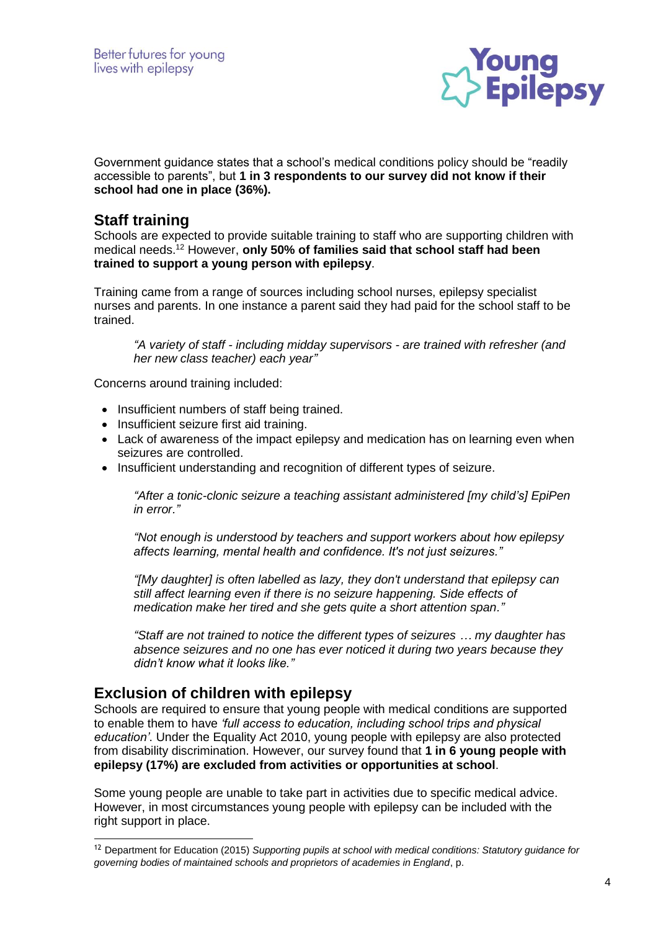

Government guidance states that a school's medical conditions policy should be "readily accessible to parents", but **1 in 3 respondents to our survey did not know if their school had one in place (36%).**

### **Staff training**

Schools are expected to provide suitable training to staff who are supporting children with medical needs.<sup>12</sup> However, **only 50% of families said that school staff had been trained to support a young person with epilepsy**.

Training came from a range of sources including school nurses, epilepsy specialist nurses and parents. In one instance a parent said they had paid for the school staff to be trained.

*"A variety of staff - including midday supervisors - are trained with refresher (and her new class teacher) each year"*

Concerns around training included:

- Insufficient numbers of staff being trained.
- Insufficient seizure first aid training.
- Lack of awareness of the impact epilepsy and medication has on learning even when seizures are controlled.
- Insufficient understanding and recognition of different types of seizure.

*"After a tonic-clonic seizure a teaching assistant administered [my child's] EpiPen in error."*

*"Not enough is understood by teachers and support workers about how epilepsy affects learning, mental health and confidence. It's not just seizures."*

*"[My daughter] is often labelled as lazy, they don't understand that epilepsy can still affect learning even if there is no seizure happening. Side effects of medication make her tired and she gets quite a short attention span."*

*"Staff are not trained to notice the different types of seizures … my daughter has absence seizures and no one has ever noticed it during two years because they didn't know what it looks like."*

## **Exclusion of children with epilepsy**

<u>.</u>

Schools are required to ensure that young people with medical conditions are supported to enable them to have *'full access to education, including school trips and physical education'*. Under the Equality Act 2010, young people with epilepsy are also protected from disability discrimination. However, our survey found that **1 in 6 young people with epilepsy (17%) are excluded from activities or opportunities at school**.

Some young people are unable to take part in activities due to specific medical advice. However, in most circumstances young people with epilepsy can be included with the right support in place.

<sup>12</sup> Department for Education (2015) *Supporting pupils at school with medical conditions: Statutory guidance for governing bodies of maintained schools and proprietors of academies in England*, p.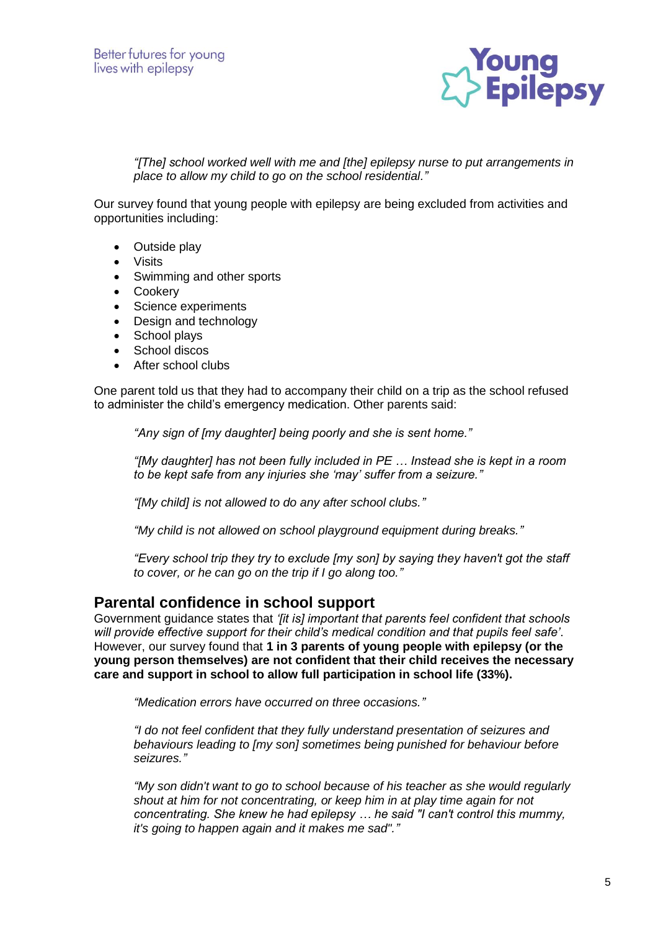

*"[The] school worked well with me and [the] epilepsy nurse to put arrangements in place to allow my child to go on the school residential."*

Our survey found that young people with epilepsy are being excluded from activities and opportunities including:

- Outside play
- Visits
- Swimming and other sports
- Cookery
- Science experiments
- Design and technology
- School plays
- School discos
- After school clubs

One parent told us that they had to accompany their child on a trip as the school refused to administer the child's emergency medication. Other parents said:

*"Any sign of [my daughter] being poorly and she is sent home."*

*"[My daughter] has not been fully included in PE … Instead she is kept in a room to be kept safe from any injuries she 'may' suffer from a seizure."*

*"[My child] is not allowed to do any after school clubs."*

*"My child is not allowed on school playground equipment during breaks."*

*"Every school trip they try to exclude [my son] by saying they haven't got the staff to cover, or he can go on the trip if I go along too."*

#### **Parental confidence in school support**

Government guidance states that *'[it is] important that parents feel confident that schools will provide effective support for their child's medical condition and that pupils feel safe'*. However, our survey found that **1 in 3 parents of young people with epilepsy (or the young person themselves) are not confident that their child receives the necessary care and support in school to allow full participation in school life (33%).** 

*"Medication errors have occurred on three occasions."*

*"I do not feel confident that they fully understand presentation of seizures and behaviours leading to [my son] sometimes being punished for behaviour before seizures."*

*"My son didn't want to go to school because of his teacher as she would regularly shout at him for not concentrating, or keep him in at play time again for not concentrating. She knew he had epilepsy … he said "I can't control this mummy, it's going to happen again and it makes me sad"."*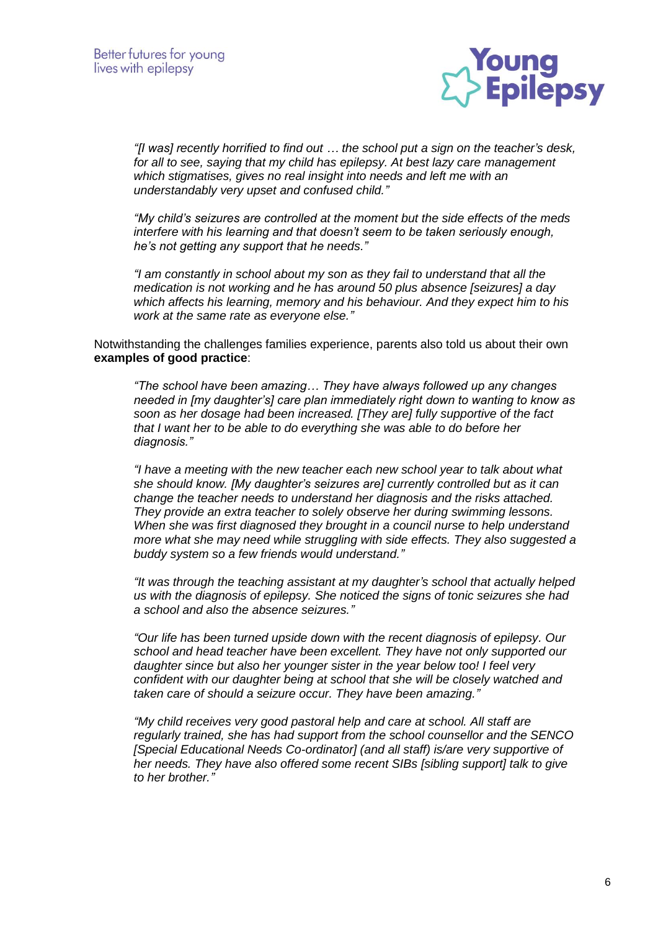

*"[I was] recently horrified to find out … the school put a sign on the teacher's desk, for all to see, saying that my child has epilepsy. At best lazy care management which stigmatises, gives no real insight into needs and left me with an understandably very upset and confused child."*

*"My child's seizures are controlled at the moment but the side effects of the meds interfere with his learning and that doesn't seem to be taken seriously enough, he's not getting any support that he needs."*

*"I am constantly in school about my son as they fail to understand that all the medication is not working and he has around 50 plus absence [seizures] a day which affects his learning, memory and his behaviour. And they expect him to his work at the same rate as everyone else."*

Notwithstanding the challenges families experience, parents also told us about their own **examples of good practice**:

*"The school have been amazing… They have always followed up any changes needed in [my daughter's] care plan immediately right down to wanting to know as soon as her dosage had been increased. [They are] fully supportive of the fact that I want her to be able to do everything she was able to do before her diagnosis."*

*"I have a meeting with the new teacher each new school year to talk about what she should know. [My daughter's seizures are] currently controlled but as it can change the teacher needs to understand her diagnosis and the risks attached. They provide an extra teacher to solely observe her during swimming lessons. When she was first diagnosed they brought in a council nurse to help understand more what she may need while struggling with side effects. They also suggested a buddy system so a few friends would understand."*

*"It was through the teaching assistant at my daughter's school that actually helped us with the diagnosis of epilepsy. She noticed the signs of tonic seizures she had a school and also the absence seizures."*

*"Our life has been turned upside down with the recent diagnosis of epilepsy. Our school and head teacher have been excellent. They have not only supported our daughter since but also her younger sister in the year below too! I feel very confident with our daughter being at school that she will be closely watched and taken care of should a seizure occur. They have been amazing."*

*"My child receives very good pastoral help and care at school. All staff are regularly trained, she has had support from the school counsellor and the SENCO [Special Educational Needs Co-ordinator] (and all staff) is/are very supportive of her needs. They have also offered some recent SIBs [sibling support] talk to give to her brother."*